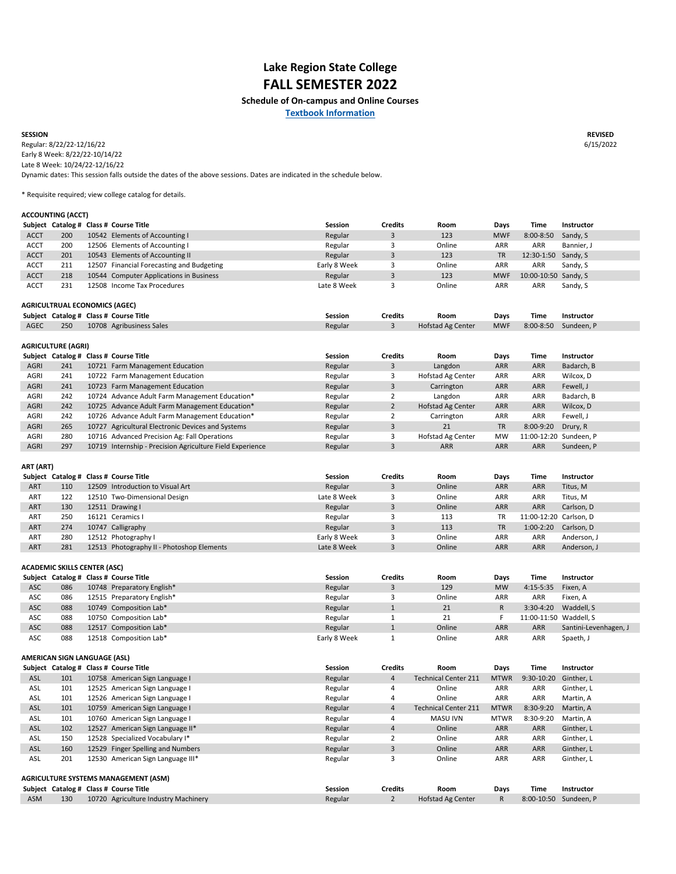**REVISED** 6/15/2022

|             |     | Subject Catalog # Class # Course Title    | <b>Session</b> | <b>Credits</b> | Room   | Days       | Time                 | <b>Instructor</b> |
|-------------|-----|-------------------------------------------|----------------|----------------|--------|------------|----------------------|-------------------|
| <b>ACCT</b> | 200 | 10542 Elements of Accounting I            | Regular        |                | 123    | <b>MWF</b> | $8:00 - 8:50$        | Sandy, S          |
| <b>ACCT</b> | 200 | 12506 Elements of Accounting I            | Regular        |                | Online | ARR        | ARR                  | Bannier, J        |
| <b>ACCT</b> | 201 | 10543 Elements of Accounting II           | Regular        |                | 123    | TR         | 12:30-1:50 Sandy, S  |                   |
| <b>ACCT</b> | 211 | 12507 Financial Forecasting and Budgeting | Early 8 Week   |                | Online | ARR        | ARR                  | Sandy, S          |
| <b>ACCT</b> | 218 | 10544 Computer Applications in Business   | Regular        |                | 123    | <b>MWF</b> | 10:00-10:50 Sandy, S |                   |
| <b>ACCT</b> | 231 | 12508 Income Tax Procedures               | Late 8 Week    |                | Online | ARR        | ARR                  | Sandy, S          |

|             |     | Subject Catalog # Class # Course Title | Session | <b>Credits</b> | Room                     | Days       | Time        | <b>Instructor</b> |
|-------------|-----|----------------------------------------|---------|----------------|--------------------------|------------|-------------|-------------------|
| <b>AGEC</b> | 250 | 10708 Agribusiness Sales               | Regular |                | <b>Hofstad Ag Center</b> | <b>MWF</b> | $8:00-8:50$ | Sundeen. P        |

|             |     | Subject Catalog # Class # Course Title                    | <b>Session</b> | <b>Credits</b> | Room                     | <b>Days</b> | Time                   | <b>Instructor</b> |
|-------------|-----|-----------------------------------------------------------|----------------|----------------|--------------------------|-------------|------------------------|-------------------|
| <b>AGRI</b> | 241 | 10721 Farm Management Education                           | Regular        |                | Langdon                  | <b>ARR</b>  | <b>ARR</b>             | Badarch, B        |
| <b>AGRI</b> | 241 | 10722 Farm Management Education                           | Regular        |                | Hofstad Ag Center        | <b>ARR</b>  | <b>ARR</b>             | Wilcox, D         |
| <b>AGRI</b> | 241 | 10723 Farm Management Education                           | Regular        |                | Carrington               | <b>ARR</b>  | <b>ARR</b>             | Fewell, J         |
| <b>AGRI</b> | 242 | 10724 Advance Adult Farm Management Education*            | Regular        |                | Langdon                  | <b>ARR</b>  | <b>ARR</b>             | Badarch, B        |
| <b>AGRI</b> | 242 | 10725 Advance Adult Farm Management Education*            | Regular        |                | Hofstad Ag Center        | <b>ARR</b>  | <b>ARR</b>             | Wilcox, D         |
| <b>AGRI</b> | 242 | 10726 Advance Adult Farm Management Education*            | Regular        |                | Carrington               | <b>ARR</b>  | <b>ARR</b>             | Fewell, J         |
| <b>AGRI</b> | 265 | 10727 Agricultural Electronic Devices and Systems         | Regular        |                | 21                       | TR          | 8:00-9:20              | Drury, R          |
| <b>AGRI</b> | 280 | 10716 Advanced Precision Ag: Fall Operations              | Regular        |                | <b>Hofstad Ag Center</b> | MW          | 11:00-12:20 Sundeen, P |                   |
| <b>AGRI</b> | 297 | 10719 Internship - Precision Agriculture Field Experience | Regular        |                | <b>ARR</b>               | <b>ARR</b>  | <b>ARR</b>             | Sundeen, P        |

|            |     | Subject Catalog # Class # Course Title    | <b>Session</b> | <b>Credits</b> | Room   | Days       | Time                   | <b>Instructor</b> |
|------------|-----|-------------------------------------------|----------------|----------------|--------|------------|------------------------|-------------------|
| <b>ART</b> | 110 | 12509 Introduction to Visual Art          | Regular        |                | Online | <b>ARR</b> | <b>ARR</b>             | Titus, M          |
| <b>ART</b> | 122 | 12510 Two-Dimensional Design              | Late 8 Week    |                | Online | ARR        | <b>ARR</b>             | Titus, M          |
| <b>ART</b> | 130 | 12511 Drawing I                           | Regular        |                | Online | <b>ARR</b> | <b>ARR</b>             | Carlson, D        |
| ART        | 250 | 16121 Ceramics I                          | Regular        |                | 113    | TR         | 11:00-12:20 Carlson, D |                   |
| <b>ART</b> | 274 | 10747 Calligraphy                         | Regular        |                | 113    | TR         | $1:00-2:20$            | Carlson, D        |
| ART        | 280 | 12512 Photography I                       | Early 8 Week   |                | Online | ARR        | <b>ARR</b>             | Anderson, J       |
| <b>ART</b> | 281 | 12513 Photography II - Photoshop Elements | Late 8 Week    |                | Online | <b>ARR</b> | <b>ARR</b>             | Anderson, J       |

|            |                                             |  | Subject Catalog # Class # Course Title | <b>Session</b> | <b>Credits</b> | Room                        | <b>Days</b>  | <b>Time</b> | <b>Instructor</b>     |
|------------|---------------------------------------------|--|----------------------------------------|----------------|----------------|-----------------------------|--------------|-------------|-----------------------|
| <b>ASC</b> | 086                                         |  | 10748 Preparatory English*             | Regular        | 3              | 129                         | <b>MW</b>    | $4:15-5:35$ | Fixen, A              |
| <b>ASC</b> | 086                                         |  | 12515 Preparatory English*             | Regular        | 3              | Online                      | ARR          | ARR         | Fixen, A              |
| <b>ASC</b> | 088                                         |  | 10749 Composition Lab*                 | Regular        | $\mathbf{1}$   | 21                          | $\mathsf{R}$ | $3:30-4:20$ | Waddell, S            |
| <b>ASC</b> | 088                                         |  | 10750 Composition Lab*                 | Regular        |                | 21                          | F.           | 11:00-11:50 | Waddell, S            |
| <b>ASC</b> | 088                                         |  | 12517 Composition Lab*                 | Regular        | $\mathbf{1}$   | Online                      | ARR          | ARR         | Santini-Levenhagen, J |
| ASC        | 088                                         |  | 12518 Composition Lab*                 | Early 8 Week   |                | Online                      | ARR          | ARR         | Spaeth, J             |
|            |                                             |  |                                        |                |                |                             |              |             |                       |
|            | <b>AMERICAN SIGN LANGUAGE (ASL)</b>         |  |                                        |                |                |                             |              |             |                       |
|            |                                             |  | Subject Catalog # Class # Course Title | <b>Session</b> | <b>Credits</b> | Room                        | Days         | <b>Time</b> | <b>Instructor</b>     |
| <b>ASL</b> | 101                                         |  | 10758 American Sign Language I         | Regular        | 4              | <b>Technical Center 211</b> | <b>MTWR</b>  | 9:30-10:20  | Ginther, L            |
| <b>ASL</b> | 101                                         |  | 12525 American Sign Language I         | Regular        | 4              | Online                      | ARR          | ARR         | Ginther, L            |
| <b>ASL</b> | 101                                         |  | 12526 American Sign Language I         | Regular        | 4              | Online                      | ARR          | ARR         | Martin, A             |
| <b>ASL</b> | 101                                         |  | 10759 American Sign Language I         | Regular        | 4              | <b>Technical Center 211</b> | <b>MTWR</b>  | 8:30-9:20   | Martin, A             |
| <b>ASL</b> | 101                                         |  | 10760 American Sign Language I         | Regular        | 4              | MASU IVN                    | <b>MTWR</b>  | 8:30-9:20   | Martin, A             |
| <b>ASL</b> | 102                                         |  | 12527 American Sign Language II*       | Regular        | 4              | Online                      | ARR          | ARR         | Ginther, L            |
| <b>ASL</b> | 150                                         |  | 12528 Specialized Vocabulary I*        | Regular        | $\overline{2}$ | Online                      | ARR          | ARR         | Ginther, L            |
| <b>ASL</b> | 160                                         |  | 12529 Finger Spelling and Numbers      | Regular        | $\mathbf{3}$   | Online                      | ARR          | ARR         | Ginther, L            |
| <b>ASL</b> | 201                                         |  | 12530 American Sign Language III*      | Regular        | 3              | Online                      | ARR          | ARR         | Ginther, L            |
|            |                                             |  |                                        |                |                |                             |              |             |                       |
|            | <b>AGRICULTURE SYSTEMS MANAGEMENT (ASM)</b> |  |                                        |                |                |                             |              |             |                       |
|            |                                             |  | Subject Catalog # Class # Course Title | <b>Session</b> | <b>Credits</b> | Room                        | Days         | <b>Time</b> | <b>Instructor</b>     |
| <b>ASM</b> | 130                                         |  | 10720 Agriculture Industry Machinery   | Regular        | $\overline{2}$ | Hofstad Ag Center           | R.           | 8:00-10:50  | Sundeen, P            |

**Schedule of On-campus and Online Courses**

#### **ACCOUNTING (ACCT)**

| <b>AGRICULTURE (AGRI)</b> |  |
|---------------------------|--|
|---------------------------|--|

**ART (ART)**

**SESSION**

**[T](http://www.bookstore.lrsc.nodak.edu/home.aspx)extbook Information**

# **Lake Region State College FALL SEMESTER 2022**

\* Requisite required; view college catalog for details.

#### **AGRICULTRUAL ECONOMICS (AGEC)**

Dynamic dates: This session falls outside the dates of the above sessions. Dates are indicated in the schedule below. Regular: 8/22/22-12/16/22 Early 8 Week: 8/22/22-10/14/22 Late 8 Week: 10/24/22-12/16/22

### **ACADEMIC SKILLS CENTER (ASC)**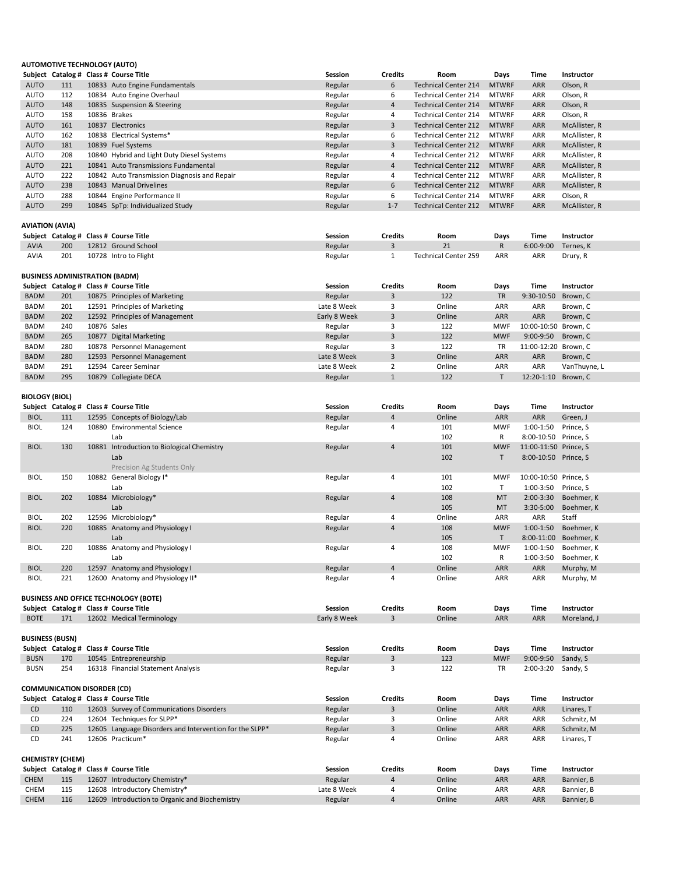|                        | <b>AUTOMOTIVE TECHNOLOGY (AUTO)</b>   |             |                                              |                |                |                             |              |                       |               |
|------------------------|---------------------------------------|-------------|----------------------------------------------|----------------|----------------|-----------------------------|--------------|-----------------------|---------------|
|                        |                                       |             | Subject Catalog # Class # Course Title       | <b>Session</b> | <b>Credits</b> | Room                        | <b>Days</b>  | <b>Time</b>           | Instructor    |
| <b>AUTO</b>            | 111                                   |             | 10833 Auto Engine Fundamentals               | Regular        | 6              | <b>Technical Center 214</b> | <b>MTWRF</b> | <b>ARR</b>            | Olson, R      |
| <b>AUTO</b>            | 112                                   |             | 10834 Auto Engine Overhaul                   | Regular        | 6              | <b>Technical Center 214</b> | <b>MTWRF</b> | <b>ARR</b>            | Olson, R      |
| <b>AUTO</b>            | 148                                   |             | 10835 Suspension & Steering                  | Regular        | $\overline{4}$ | <b>Technical Center 214</b> | <b>MTWRF</b> | <b>ARR</b>            | Olson, R      |
| <b>AUTO</b>            | 158                                   |             | 10836 Brakes                                 | Regular        | 4              | <b>Technical Center 214</b> | <b>MTWRF</b> | <b>ARR</b>            | Olson, R      |
| <b>AUTO</b>            | 161                                   |             | 10837 Electronics                            | Regular        | 3              | <b>Technical Center 212</b> | <b>MTWRF</b> | <b>ARR</b>            | McAllister, R |
| <b>AUTO</b>            | 162                                   |             | 10838 Electrical Systems*                    | Regular        | 6              | <b>Technical Center 212</b> | <b>MTWRF</b> | <b>ARR</b>            | McAllister, R |
| <b>AUTO</b>            | 181                                   |             | 10839 Fuel Systems                           | Regular        | 3              | <b>Technical Center 212</b> | <b>MTWRF</b> | <b>ARR</b>            | McAllister, R |
| <b>AUTO</b>            | 208                                   |             | 10840 Hybrid and Light Duty Diesel Systems   | Regular        | 4              | <b>Technical Center 212</b> | <b>MTWRF</b> | <b>ARR</b>            | McAllister, R |
| <b>AUTO</b>            | 221                                   |             | 10841 Auto Transmissions Fundamental         | Regular        | 4              | <b>Technical Center 212</b> | <b>MTWRF</b> | <b>ARR</b>            | McAllister, R |
| <b>AUTO</b>            | 222                                   |             | 10842 Auto Transmission Diagnosis and Repair | Regular        | 4              | <b>Technical Center 212</b> | <b>MTWRF</b> | ARR                   | McAllister, R |
| <b>AUTO</b>            | 238                                   |             | 10843 Manual Drivelines                      | Regular        | 6              | <b>Technical Center 212</b> | <b>MTWRF</b> | <b>ARR</b>            | McAllister, R |
| <b>AUTO</b>            | 288                                   |             | 10844 Engine Performance II                  | Regular        | 6              | <b>Technical Center 214</b> | <b>MTWRF</b> | <b>ARR</b>            | Olson, R      |
| <b>AUTO</b>            | 299                                   |             | 10845 SpTp: Individualized Study             | Regular        | $1 - 7$        | <b>Technical Center 212</b> | <b>MTWRF</b> | <b>ARR</b>            | McAllister, R |
|                        |                                       |             |                                              |                |                |                             |              |                       |               |
| <b>AVIATION (AVIA)</b> |                                       |             |                                              |                |                |                             |              |                       |               |
|                        |                                       |             | Subject Catalog # Class # Course Title       | <b>Session</b> | <b>Credits</b> | Room                        | <b>Days</b>  | <b>Time</b>           | Instructor    |
| <b>AVIA</b>            | 200                                   |             | 12812 Ground School                          | Regular        | $\overline{3}$ | 21                          | R            | $6:00-9:00$           | Ternes, K     |
| <b>AVIA</b>            | 201                                   |             | 10728 Intro to Flight                        | Regular        | $\mathbf{1}$   | <b>Technical Center 259</b> | ARR          | ARR                   | Drury, R      |
|                        |                                       |             |                                              |                |                |                             |              |                       |               |
|                        | <b>BUSINESS ADMINISTRATION (BADM)</b> |             |                                              |                |                |                             |              |                       |               |
|                        |                                       |             | Subject Catalog # Class # Course Title       | <b>Session</b> | <b>Credits</b> | Room                        | <b>Days</b>  | <b>Time</b>           | Instructor    |
| <b>BADM</b>            | 201                                   |             | 10875 Principles of Marketing                | Regular        | 3              | 122                         | <b>TR</b>    | 9:30-10:50            | Brown, C      |
| <b>BADM</b>            | 201                                   |             | 12591 Principles of Marketing                | Late 8 Week    | 3              | Online                      | <b>ARR</b>   | <b>ARR</b>            | Brown, C      |
| <b>BADM</b>            | 202                                   |             | 12592 Principles of Management               | Early 8 Week   | $\overline{3}$ | Online                      | <b>ARR</b>   | ARR                   | Brown, C      |
| <b>BADM</b>            | 240                                   | 10876 Sales |                                              | Regular        | 3              | 122                         | <b>MWF</b>   | 10:00-10:50 Brown, C  |               |
| <b>BADM</b>            | 265                                   |             | 10877 Digital Marketing                      | Regular        | 3              | 122                         | <b>MWF</b>   | $9:00-9:50$           | Brown, C      |
| <b>BADM</b>            | 280                                   |             | 10878 Personnel Management                   | Regular        | 3              | 122                         | TR           | 11:00-12:20 Brown, C  |               |
| <b>BADM</b>            | 280                                   |             | 12593 Personnel Management                   | Late 8 Week    | $\overline{3}$ | Online                      | <b>ARR</b>   | <b>ARR</b>            | Brown, C      |
| <b>BADM</b>            | 291                                   |             | 12594 Career Seminar                         | Late 8 Week    | $\overline{2}$ | Online                      | ARR          | ARR                   | VanThuyne, L  |
| <b>BADM</b>            | 295                                   |             | 10879 Collegiate DECA                        | Regular        | $\mathbf{1}$   | 122                         | $\mathsf{T}$ | 12:20-1:10 Brown, C   |               |
|                        |                                       |             |                                              |                |                |                             |              |                       |               |
| <b>BIOLOGY (BIOL)</b>  |                                       |             |                                              |                |                |                             |              |                       |               |
|                        |                                       |             | Subject Catalog # Class # Course Title       | Session        | <b>Credits</b> | Room                        | Days         | <b>Time</b>           | Instructor    |
| <b>BIOL</b>            | 111                                   |             | 12595 Concepts of Biology/Lab                | Regular        | 4              | Online                      | ARR          | ARR                   | Green, J      |
| <b>BIOL</b>            | 124                                   |             | 10880 Environmental Science                  | Regular        | 4              | 101                         | <b>MWF</b>   | $1:00-1:50$           | Prince, S     |
|                        |                                       |             | Lab                                          |                |                | 102                         | R            | 8:00-10:50 Prince, S  |               |
| <b>BIOL</b>            | 130                                   |             | 10881 Introduction to Biological Chemistry   | Regular        | $\overline{4}$ | 101                         | <b>MWF</b>   | 11:00-11:50 Prince, S |               |
|                        |                                       |             | Lab                                          |                |                | 102                         | T            | 8:00-10:50 Prince, S  |               |
|                        |                                       |             | Precision Ag Students Only                   |                |                |                             |              |                       |               |
| <b>BIOL</b>            | 150                                   |             | 10882 General Biology I*                     | Regular        | 4              | 101                         | <b>MWF</b>   | 10:00-10:50 Prince, S |               |
|                        |                                       |             | Lab                                          |                |                | 102                         | $\mathsf{T}$ | 1:00-3:50 Prince, S   |               |
| <b>BIOL</b>            | 202                                   |             | 10884 Microbiology*                          | Regular        | $\overline{4}$ | 108                         | <b>MT</b>    | $2:00-3:30$           | Boehmer, K    |
|                        |                                       |             | Lab                                          |                |                | 105                         | <b>MT</b>    | $3:30-5:00$           | Boehmer, K    |
| <b>BIOL</b>            | 202                                   |             | 12596 Microbiology*                          | Regular        | 4              | Online                      | <b>ARR</b>   | ARR                   | Staff         |
| <b>BIOL</b>            | 220                                   |             | 10885 Anatomy and Physiology I               | Regular        | 4              | 108                         | <b>MWF</b>   | $1:00-1:50$           | Boehmer, K    |
|                        |                                       |             | Lab                                          |                |                | 105                         |              | 8:00-11:00            |               |
|                        |                                       |             |                                              |                |                |                             | $\mathsf{T}$ |                       | Boehmer, K    |
| <b>BIOL</b>            | 220                                   |             | 10886 Anatomy and Physiology I               | Regular        | 4              | 108                         | <b>MWF</b>   | $1:00-1:50$           | Boehmer, K    |
|                        |                                       |             | Lab                                          |                |                | 102                         | R.           | 1:00-3:50             | Boehmer, K    |
| <b>BIOL</b>            | 220                                   |             | 12597 Anatomy and Physiology I               | Regular        | $\overline{4}$ | Online                      | ARR          | ARR                   | Murphy, M     |
| <b>BIOL</b>            | 221                                   |             | 12600 Anatomy and Physiology II*             | Regular        | 4              | Online                      | <b>ARR</b>   | ARR                   | Murphy, M     |
|                        |                                       |             |                                              |                |                |                             |              |                       |               |
|                        |                                       |             | <b>BUSINESS AND OFFICE TECHNOLOGY (BOTE)</b> |                |                |                             |              |                       |               |
|                        |                                       |             | Subject Catalog # Class # Course Title       | <b>Session</b> | <b>Credits</b> | Room                        | <b>Days</b>  | <b>Time</b>           | Instructor    |

|                                    |                         |  | Subject Catalog # Class # Course Title                  | <b>Session</b> | <b>Credits</b> | Room   | Days        | Time          | <b>Instructor</b> |  |
|------------------------------------|-------------------------|--|---------------------------------------------------------|----------------|----------------|--------|-------------|---------------|-------------------|--|
| <b>BUSN</b>                        | 170                     |  | 10545 Entrepreneurship                                  | Regular        | 3              | 123    | <b>MWF</b>  | $9:00 - 9:50$ | Sandy, S          |  |
| <b>BUSN</b>                        | 254                     |  | 16318 Financial Statement Analysis                      | Regular        | 3              | 122    | TR          | $2:00-3:20$   | Sandy, S          |  |
| <b>COMMUNICATION DISORDER (CD)</b> |                         |  |                                                         |                |                |        |             |               |                   |  |
|                                    |                         |  | Subject Catalog # Class # Course Title                  | <b>Session</b> | <b>Credits</b> | Room   | Days        | Time          | <b>Instructor</b> |  |
| CD                                 | 110                     |  | 12603 Survey of Communications Disorders                | Regular        | 3              | Online | <b>ARR</b>  | <b>ARR</b>    | Linares, T        |  |
| CD                                 | 224                     |  | 12604 Techniques for SLPP*                              | Regular        | 3              | Online | <b>ARR</b>  | ARR           | Schmitz, M        |  |
| CD                                 | 225                     |  | 12605 Language Disorders and Intervention for the SLPP* | Regular        | 3              | Online | <b>ARR</b>  | <b>ARR</b>    | Schmitz, M        |  |
| <b>CD</b>                          | 241                     |  | 12606 Practicum*                                        | Regular        | 4              | Online | ARR         | ARR           | Linares, T        |  |
|                                    | <b>CHEMISTRY (CHEM)</b> |  |                                                         |                |                |        |             |               |                   |  |
|                                    |                         |  | Subject Catalog # Class # Course Title                  | <b>Session</b> | <b>Credits</b> | Room   | <b>Days</b> | Time          | <b>Instructor</b> |  |
| <b>CHEM</b>                        | 115                     |  | 12607 Introductory Chemistry*                           | Regular        | 4              | Online | <b>ARR</b>  | <b>ARR</b>    | Bannier, B        |  |
| <b>CHEM</b>                        | 115                     |  | 12608 Introductory Chemistry*                           | Late 8 Week    | 4              | Online | <b>ARR</b>  | ARR           | Bannier, B        |  |
| <b>CHEM</b>                        | 116                     |  | 12609 Introduction to Organic and Biochemistry          | Regular        | 4              | Online | <b>ARR</b>  | <b>ARR</b>    | Bannier, B        |  |

BOTE 171 12602 Medical Terminology **Early 8 Week** 2 Online ARR ARR Moreland, J

#### **BUSINESS (BUSN)**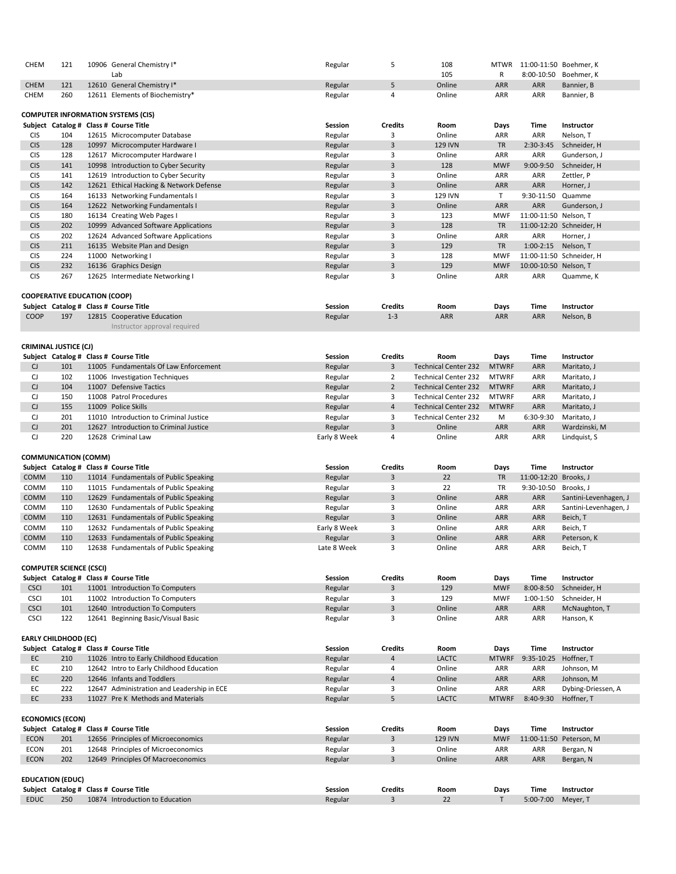| <b>CHEM</b>                  | 121                                 |  | 10906 General Chemistry I*                                            | Regular            | 5                 | 108                         | <b>MTWR</b>       | 11:00-11:50 Boehmer, K |                            |  |
|------------------------------|-------------------------------------|--|-----------------------------------------------------------------------|--------------------|-------------------|-----------------------------|-------------------|------------------------|----------------------------|--|
|                              |                                     |  | Lab                                                                   |                    |                   | 105                         | R                 |                        | 8:00-10:50 Boehmer, K      |  |
| <b>CHEM</b>                  | 121                                 |  | 12610 General Chemistry I*                                            | Regular            | 5                 | Online                      | ARR               | <b>ARR</b>             | Bannier, B                 |  |
| <b>CHEM</b>                  | 260                                 |  | 12611 Elements of Biochemistry*                                       | Regular            | 4                 | Online                      | ARR               | ARR                    | Bannier, B                 |  |
|                              |                                     |  |                                                                       |                    |                   |                             |                   |                        |                            |  |
|                              |                                     |  | <b>COMPUTER INFORMATION SYSTEMS (CIS)</b>                             |                    |                   |                             |                   |                        |                            |  |
|                              |                                     |  | Subject Catalog # Class # Course Title                                | <b>Session</b>     | <b>Credits</b>    | Room                        | Days              | <b>Time</b>            | <b>Instructor</b>          |  |
| <b>CIS</b>                   | 104                                 |  | 12615 Microcomputer Database                                          | Regular            | 3                 | Online                      | <b>ARR</b>        | <b>ARR</b>             | Nelson, T                  |  |
| <b>CIS</b>                   | 128                                 |  | 10997 Microcomputer Hardware I                                        | Regular            | $\overline{3}$    | <b>129 IVN</b>              | <b>TR</b>         | 2:30-3:45              | Schneider, H               |  |
| <b>CIS</b>                   | 128                                 |  | 12617 Microcomputer Hardware I                                        | Regular            | 3                 | Online                      | <b>ARR</b>        | <b>ARR</b>             | Gunderson, J               |  |
| <b>CIS</b>                   | 141                                 |  | 10998 Introduction to Cyber Security                                  | Regular            | $\overline{3}$    | 128                         | <b>MWF</b>        | $9:00-9:50$            | Schneider, H               |  |
| <b>CIS</b>                   | 141                                 |  | 12619 Introduction to Cyber Security                                  | Regular            | 3                 | Online                      | ARR               | <b>ARR</b>             | Zettler, P                 |  |
| <b>CIS</b>                   | 142                                 |  | 12621 Ethical Hacking & Network Defense                               | Regular            | 3                 | Online                      | ARR               | <b>ARR</b>             | Horner, J                  |  |
| <b>CIS</b>                   | 164                                 |  | 16133 Networking Fundamentals I                                       | Regular            | 3                 | 129 IVN                     | T.                | 9:30-11:50             | Quamme                     |  |
| <b>CIS</b>                   | 164                                 |  | 12622 Networking Fundamentals I                                       | Regular            | 3                 | Online                      | <b>ARR</b>        | ARR                    | Gunderson, J               |  |
| <b>CIS</b>                   | 180                                 |  | 16134 Creating Web Pages I                                            | Regular            | 3                 | 123                         | <b>MWF</b>        | 11:00-11:50 Nelson, T  |                            |  |
| <b>CIS</b>                   | 202                                 |  | 10999 Advanced Software Applications                                  | Regular            | 3                 | 128                         | <b>TR</b>         |                        | 11:00-12:20 Schneider, H   |  |
| <b>CIS</b>                   | 202                                 |  | 12624 Advanced Software Applications                                  | Regular            | 3                 | Online                      | ARR               | ARR                    | Horner, J                  |  |
| <b>CIS</b>                   | 211                                 |  | 16135 Website Plan and Design                                         | Regular            | 3                 | 129                         | <b>TR</b>         | $1:00-2:15$            | Nelson, T                  |  |
| <b>CIS</b>                   | 224                                 |  | 11000 Networking I                                                    | Regular            | 3                 | 128                         | <b>MWF</b>        |                        | 11:00-11:50 Schneider, H   |  |
| <b>CIS</b>                   | 232                                 |  | 16136 Graphics Design                                                 | Regular            | $\mathbf{3}$      | 129                         | <b>MWF</b>        | 10:00-10:50 Nelson, T  |                            |  |
| <b>CIS</b>                   | 267                                 |  | 12625 Intermediate Networking I                                       | Regular            | 3                 | Online                      | <b>ARR</b>        | ARR                    | Quamme, K                  |  |
|                              |                                     |  |                                                                       |                    |                   |                             |                   |                        |                            |  |
|                              | <b>COOPERATIVE EDUCATION (COOP)</b> |  |                                                                       |                    |                   |                             |                   |                        |                            |  |
|                              |                                     |  | Subject Catalog # Class # Course Title                                | <b>Session</b>     | <b>Credits</b>    | Room                        | <b>Days</b>       | <b>Time</b>            | <b>Instructor</b>          |  |
| <b>COOP</b>                  | 197                                 |  | 12815 Cooperative Education                                           | Regular            | $1 - 3$           | <b>ARR</b>                  | <b>ARR</b>        | <b>ARR</b>             | Nelson, B                  |  |
|                              |                                     |  |                                                                       |                    |                   |                             |                   |                        |                            |  |
|                              |                                     |  | Instructor approval required                                          |                    |                   |                             |                   |                        |                            |  |
| <b>CRIMINAL JUSTICE (CJ)</b> |                                     |  |                                                                       |                    |                   |                             |                   |                        |                            |  |
|                              |                                     |  |                                                                       |                    |                   |                             |                   |                        |                            |  |
|                              |                                     |  |                                                                       |                    |                   |                             |                   |                        |                            |  |
|                              |                                     |  | Subject Catalog # Class # Course Title                                | <b>Session</b>     | <b>Credits</b>    | Room                        | Days              | <b>Time</b>            | <b>Instructor</b>          |  |
| CJ                           | 101                                 |  | 11005 Fundamentals Of Law Enforcement                                 | Regular            | 3                 | <b>Technical Center 232</b> | <b>MTWRF</b>      | <b>ARR</b>             | Maritato, J                |  |
| CJ                           | 102                                 |  | 11006 Investigation Techniques                                        | Regular            | $\overline{2}$    | <b>Technical Center 232</b> | <b>MTWRF</b>      | <b>ARR</b>             | Maritato, J                |  |
| $\mathsf{C}\mathsf{J}$       | 104                                 |  | 11007 Defensive Tactics                                               | Regular            | $\overline{2}$    | <b>Technical Center 232</b> | <b>MTWRF</b>      | <b>ARR</b>             | Maritato, J                |  |
| CJ                           | 150                                 |  | 11008 Patrol Procedures                                               | Regular            | 3                 | <b>Technical Center 232</b> | <b>MTWRF</b>      | <b>ARR</b>             | Maritato, J                |  |
| CJ                           | 155                                 |  | 11009 Police Skills                                                   | Regular            | $\overline{4}$    | <b>Technical Center 232</b> | <b>MTWRF</b>      | ARR                    | Maritato, J                |  |
| CJ                           | 201                                 |  | 11010 Introduction to Criminal Justice                                | Regular            | 3                 | <b>Technical Center 232</b> | M                 | 6:30-9:30              | Maritato, J                |  |
| $\mathsf{C}\mathsf{J}$       | 201                                 |  | 12627 Introduction to Criminal Justice                                | Regular            | 3                 | Online                      | <b>ARR</b>        | ARR                    | Wardzinski, M              |  |
| $\mathsf{C}\mathsf{J}$       | 220                                 |  | 12628 Criminal Law                                                    | Early 8 Week       | 4                 | Online                      | ARR               | <b>ARR</b>             | Lindquist, S               |  |
|                              |                                     |  |                                                                       |                    |                   |                             |                   |                        |                            |  |
|                              | <b>COMMUNICATION (COMM)</b>         |  |                                                                       |                    |                   |                             |                   |                        |                            |  |
|                              |                                     |  | Subject Catalog # Class # Course Title                                | <b>Session</b>     | <b>Credits</b>    | Room                        | <b>Days</b>       | <b>Time</b>            | Instructor                 |  |
| COMM                         | 110                                 |  | 11014 Fundamentals of Public Speaking                                 | Regular            | 3                 | 22                          | <b>TR</b>         | 11:00-12:20 Brooks, J  |                            |  |
| COMM                         | 110                                 |  | 11015 Fundamentals of Public Speaking                                 |                    | 3                 | 22                          | TR                | 9:30-10:50             | Brooks, J                  |  |
|                              |                                     |  |                                                                       | Regular            |                   |                             |                   |                        |                            |  |
| COMM                         | 110                                 |  | 12629 Fundamentals of Public Speaking                                 | Regular            | 3                 | Online                      | ARR               | ARR                    | Santini-Levenhagen, J      |  |
| COMM                         | 110                                 |  | 12630 Fundamentals of Public Speaking                                 | Regular            | 3                 | Online                      | <b>ARR</b>        | <b>ARR</b>             | Santini-Levenhagen, J      |  |
| COMM                         | 110                                 |  | 12631 Fundamentals of Public Speaking                                 | Regular            | 3                 | Online                      | <b>ARR</b>        | <b>ARR</b>             | Beich, T                   |  |
| COMM                         | 110                                 |  | 12632 Fundamentals of Public Speaking                                 | Early 8 Week       | 3                 | Online                      | ARR               | <b>ARR</b>             | Beich, T                   |  |
| COMM                         | 110                                 |  | 12633 Fundamentals of Public Speaking                                 | Regular            | $\overline{3}$    | Online                      | ARR               | <b>ARR</b>             | Peterson, K                |  |
| COMM                         | 110                                 |  | 12638 Fundamentals of Public Speaking                                 | Late 8 Week        | 3                 | Online                      | ARR               | <b>ARR</b>             | Beich, T                   |  |
|                              |                                     |  |                                                                       |                    |                   |                             |                   |                        |                            |  |
|                              | <b>COMPUTER SCIENCE (CSCI)</b>      |  |                                                                       |                    |                   |                             |                   |                        |                            |  |
|                              |                                     |  | Subject Catalog # Class # Course Title                                | <b>Session</b>     | <b>Credits</b>    | Room                        | Days              | <b>Time</b>            | Instructor                 |  |
| <b>CSCI</b>                  | 101                                 |  | 11001 Introduction To Computers                                       | Regular            | 3                 | 129                         | <b>MWF</b>        | 8:00-8:50              | Schneider, H               |  |
| <b>CSCI</b>                  | 101                                 |  | 11002 Introduction To Computers                                       | Regular            | 3                 | 129                         | <b>MWF</b>        | $1:00-1:50$            | Schneider, H               |  |
| <b>CSCI</b><br><b>CSCI</b>   | 101<br>122                          |  | 12640 Introduction To Computers<br>12641 Beginning Basic/Visual Basic | Regular<br>Regular | $\mathbf{3}$<br>3 | Online<br>Online            | <b>ARR</b><br>ARR | ARR<br><b>ARR</b>      | McNaughton, T<br>Hanson, K |  |

|    |     | Subject Catalog # Class # Course Title     | <b>Session</b> | <b>Credits</b> | Room         | Days         | <b>Time</b>           | <b>Instructor</b>  |
|----|-----|--------------------------------------------|----------------|----------------|--------------|--------------|-----------------------|--------------------|
| EC | 210 | 11026 Intro to Early Childhood Education   | Regular        | 4              | <b>LACTC</b> | <b>MTWRF</b> | 9:35-10:25 Hoffner, T |                    |
| EС | 210 | 12642 Intro to Early Childhood Education   | Regular        | 4              | Online       | ARR          | ARR                   | Johnson, M         |
| EC | 220 | 12646 Infants and Toddlers                 | Regular        | 4              | Online       | <b>ARR</b>   | <b>ARR</b>            | Johnson, M         |
| EС | 222 | 12647 Administration and Leadership in ECE | Regular        |                | Online       | <b>ARR</b>   | ARR                   | Dybing-Driessen, A |
| EC | 233 | 11027 Pre K Methods and Materials          | Regular        |                | <b>LACTC</b> | <b>MTWRF</b> | 8:40-9:30             | Hoffner, T         |
|    |     |                                            |                |                |              |              |                       |                    |

|             |                         | Subject Catalog # Class # Course Title | <b>Session</b> | <b>Credits</b> | Room           | Days       | Time          | <b>Instructor</b>       |
|-------------|-------------------------|----------------------------------------|----------------|----------------|----------------|------------|---------------|-------------------------|
| <b>ECON</b> | 201                     | 12656 Principles of Microeconomics     | Regular        |                | <b>129 IVN</b> | <b>MWF</b> |               | 11:00-11:50 Peterson, M |
| <b>ECON</b> | 201                     | 12648 Principles of Microeconomics     | Regular        |                | Online         | ARR        | ARR           | Bergan, N               |
| <b>ECON</b> | 202                     | 12649 Principles Of Macroeconomics     | Regular        |                | Online         | <b>ARR</b> | <b>ARR</b>    | Bergan, N               |
|             |                         |                                        |                |                |                |            |               |                         |
|             | <b>EDUCATION (EDUC)</b> |                                        |                |                |                |            |               |                         |
|             |                         | Subject Catalog # Class # Course Title | <b>Session</b> | <b>Credits</b> | Room           | Days       | <b>Time</b>   | <b>Instructor</b>       |
| <b>EDUC</b> | 250                     | 10874 Introduction to Education        | Regular        |                | 22             |            | $5:00 - 7:00$ | Meyer, T                |

## **EARLY CHILDHOOD (EC)**

#### **ECONOMICS (ECON)**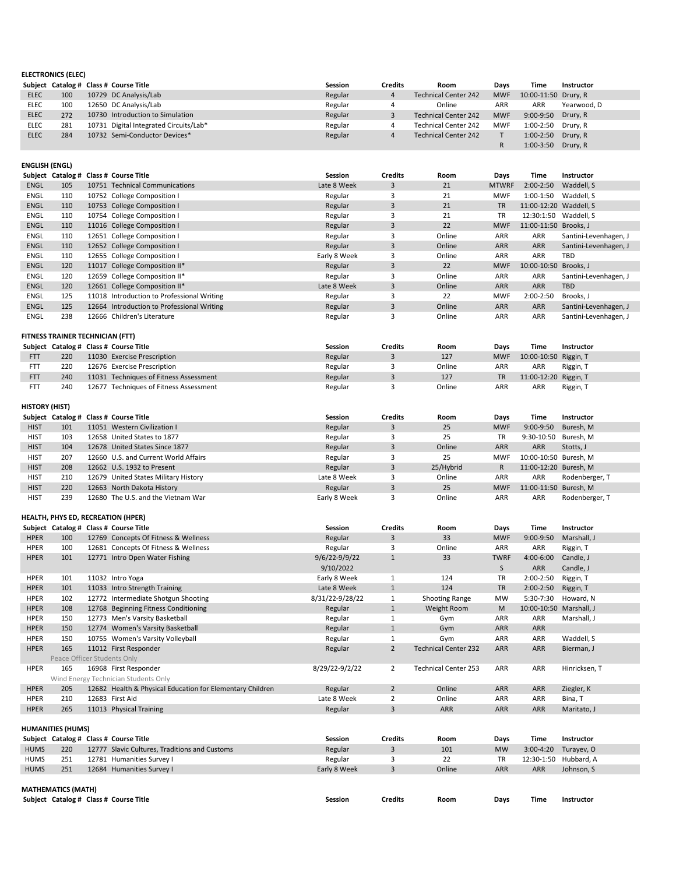|             |     | Subject Catalog # Class # Course Title | <b>Session</b> | <b>Credits</b> | Room                        | <b>Davs</b> | Time                 | <b>Instructor</b> |
|-------------|-----|----------------------------------------|----------------|----------------|-----------------------------|-------------|----------------------|-------------------|
| <b>ELEC</b> | 100 | 10729 DC Analysis/Lab                  | Regular        |                | <b>Technical Center 242</b> | <b>MWF</b>  | 10:00-11:50 Drury, R |                   |
| <b>ELEC</b> | 100 | 12650 DC Analysis/Lab                  | Regular        |                | Online                      | ARR         | ARR                  | Yearwood, D       |
| <b>ELEC</b> | 272 | 10730 Introduction to Simulation       | Regular        |                | <b>Technical Center 242</b> | <b>MWF</b>  | 9:00-9:50 Drury, R   |                   |
| <b>ELEC</b> | 281 | 10731 Digital Integrated Circuits/Lab* | Regular        |                | <b>Technical Center 242</b> | <b>MWF</b>  | 1:00-2:50 Drury, R   |                   |
| <b>ELEC</b> | 284 | 10732 Semi-Conductor Devices*          | Regular        |                | Technical Center 242        |             | 1:00-2:50 Drury, R   |                   |
|             |     |                                        |                |                |                             |             | 1:00-3:50 Drury, R   |                   |

| .          | 22 U | <b>ILOJO LACICIJE I ILIJE IDEOIT</b>   | <b>ILLEUIUI</b> | $+2$   | <b>IVIVVI</b> | <b>IV.OV IV.JV INSSIII, I</b> |  |
|------------|------|----------------------------------------|-----------------|--------|---------------|-------------------------------|--|
|            | 220  | 12676 Exercise Prescription            | Regular         | Online | <b>ARR</b>    | ARR<br>Riggin, T              |  |
| <b>FTT</b> | 240  | 11031 Techniques of Fitness Assessment | Regular         | 127    | TR            | 11:00-12:20 Riggin, T         |  |
|            | 240  | 12677 Techniques of Fitness Assessment | Regular         | Online | ARR           | Riggin, T<br><b>ARR</b>       |  |

| <b>ENGLISH (ENGL)</b> |                                         |                                            |                |                |        |              |                        |                       |
|-----------------------|-----------------------------------------|--------------------------------------------|----------------|----------------|--------|--------------|------------------------|-----------------------|
|                       |                                         | Subject Catalog # Class # Course Title     | Session        | <b>Credits</b> | Room   | Days         | Time                   | <b>Instructor</b>     |
| <b>ENGL</b>           | 105                                     | 10751 Technical Communications             | Late 8 Week    | 3              | 21     | <b>MTWRF</b> | $2:00 - 2:50$          | Waddell, S            |
| <b>ENGL</b>           | 110                                     | 10752 College Composition I                | Regular        | 3              | 21     | <b>MWF</b>   | $1:00-1:50$            | Waddell, S            |
| <b>ENGL</b>           | 110                                     | 10753 College Composition I                | Regular        | $\mathbf{3}$   | 21     | <b>TR</b>    | 11:00-12:20 Waddell, S |                       |
| <b>ENGL</b>           | 110                                     | 10754 College Composition I                | Regular        | 3              | 21     | <b>TR</b>    | 12:30:1:50             | Waddell, S            |
| <b>ENGL</b>           | 110                                     | 11016 College Composition I                | Regular        | 3              | 22     | <b>MWF</b>   | 11:00-11:50 Brooks, J  |                       |
| <b>ENGL</b>           | 110                                     | 12651 College Composition I                | Regular        | 3              | Online | <b>ARR</b>   | ARR                    | Santini-Levenhagen, J |
| <b>ENGL</b>           | 110                                     | 12652 College Composition I                | Regular        | 3              | Online | <b>ARR</b>   | <b>ARR</b>             | Santini-Levenhagen, J |
| <b>ENGL</b>           | 110                                     | 12655 College Composition I                | Early 8 Week   | 3              | Online | <b>ARR</b>   | ARR                    | TBD                   |
| <b>ENGL</b>           | 120                                     | 11017 College Composition II*              | Regular        | 3              | 22     | <b>MWF</b>   | 10:00-10:50 Brooks, J  |                       |
| <b>ENGL</b>           | 120                                     | 12659 College Composition II*              | Regular        | 3              | Online | <b>ARR</b>   | ARR                    | Santini-Levenhagen, J |
| <b>ENGL</b>           | 120                                     | 12661 College Composition II*              | Late 8 Week    | 3              | Online | <b>ARR</b>   | <b>ARR</b>             | <b>TBD</b>            |
| ENGL                  | 125                                     | 11018 Introduction to Professional Writing | Regular        | 3              | 22     | <b>MWF</b>   | $2:00-2:50$            | Brooks, J             |
| <b>ENGL</b>           | 125                                     | 12664 Introduction to Professional Writing | Regular        | $\overline{3}$ | Online | <b>ARR</b>   | <b>ARR</b>             | Santini-Levenhagen, J |
| <b>ENGL</b>           | 238                                     | 12666 Children's Literature                | Regular        | 3              | Online | ARR          | ARR                    | Santini-Levenhagen, J |
|                       |                                         |                                            |                |                |        |              |                        |                       |
|                       | <b>FITNESS TRAINER TECHNICIAN (FTT)</b> |                                            |                |                |        |              |                        |                       |
|                       |                                         | Subject Catalog # Class # Course Title     | <b>Session</b> | <b>Credits</b> | Room   | Days         | Time                   | <b>Instructor</b>     |
| <b>FTT</b>            | 220                                     | 11030 Exercise Prescription                | Regular        |                | 127    | <b>MWF</b>   | 10:00-10:50 Riggin, T  |                       |

|             |                             | Subject Catalog # Class # Course Title                    | <b>Session</b>    | <b>Credits</b> | Room                        | <b>Days</b> | <b>Time</b>             | <b>Instructor</b>     |
|-------------|-----------------------------|-----------------------------------------------------------|-------------------|----------------|-----------------------------|-------------|-------------------------|-----------------------|
| <b>HPER</b> | 100                         | 12769 Concepts Of Fitness & Wellness                      | Regular           | 3              | 33                          | <b>MWF</b>  | 9:00-9:50               | Marshall, J           |
| <b>HPER</b> | 100                         | 12681 Concepts Of Fitness & Wellness                      | Regular           | 3              | Online                      | <b>ARR</b>  | <b>ARR</b>              | Riggin, T             |
| <b>HPER</b> | 101                         | 12771 Intro Open Water Fishing                            | $9/6/22 - 9/9/22$ | 1              | 33                          | <b>TWRF</b> | 4:00-6:00               | Candle, J             |
|             |                             |                                                           | 9/10/2022         |                |                             | S           | ARR                     | Candle, J             |
| <b>HPER</b> | 101                         | 11032 Intro Yoga                                          | Early 8 Week      | 1              | 124                         | <b>TR</b>   | 2:00-2:50               | Riggin, T             |
| <b>HPER</b> | 101                         | 11033 Intro Strength Training                             | Late 8 Week       | $\mathbf{1}$   | 124                         | <b>TR</b>   | $2:00-2:50$             | Riggin, T             |
| <b>HPER</b> | 102                         | 12772 Intermediate Shotgun Shooting                       | 8/31/22-9/28/22   | $\mathbf{1}$   | <b>Shooting Range</b>       | <b>MW</b>   | 5:30-7:30               | Howard, N             |
| <b>HPER</b> | 108                         | 12768 Beginning Fitness Conditioning                      | Regular           | $\mathbf{1}$   | Weight Room                 | M           | 10:00-10:50 Marshall, J |                       |
| <b>HPER</b> | 150                         | 12773 Men's Varsity Basketball                            | Regular           | $\mathbf 1$    | Gym                         | <b>ARR</b>  | <b>ARR</b>              | Marshall, J           |
| <b>HPER</b> | 150                         | 12774 Women's Varsity Basketball                          | Regular           | $\mathbf{1}$   | Gym                         | <b>ARR</b>  | <b>ARR</b>              |                       |
| <b>HPER</b> | 150                         | 10755 Women's Varsity Volleyball                          | Regular           | 1              | Gym                         | <b>ARR</b>  | ARR                     | Waddell, S            |
| <b>HPER</b> | 165                         | 11012 First Responder                                     | Regular           | $\overline{2}$ | <b>Technical Center 232</b> | <b>ARR</b>  | <b>ARR</b>              | Bierman, J            |
|             | Peace Officer Students Only |                                                           |                   |                |                             |             |                         |                       |
| <b>HPER</b> | 165                         | 16968 First Responder                                     | 8/29/22-9/2/22    | $\overline{2}$ | <b>Technical Center 253</b> | <b>ARR</b>  | <b>ARR</b>              | Hinricksen, T         |
|             |                             | Wind Energy Technician Students Only                      |                   |                |                             |             |                         |                       |
| <b>HPER</b> | 205                         | 12682 Health & Physical Education for Elementary Children | Regular           | $\overline{2}$ | Online                      | <b>ARR</b>  | <b>ARR</b>              | Ziegler, K            |
| <b>HPER</b> | 210                         | 12683 First Aid                                           | Late 8 Week       | $\overline{2}$ | Online                      | <b>ARR</b>  | <b>ARR</b>              | Bina, T               |
| <b>HPER</b> | 265                         | 11013 Physical Training                                   | Regular           | 3              | <b>ARR</b>                  | ARR         | ARR                     | Maritato, J           |
|             |                             |                                                           |                   |                |                             |             |                         |                       |
|             | <b>HUMANITIES (HUMS)</b>    |                                                           |                   |                |                             |             |                         |                       |
|             |                             | Subject Catalog # Class # Course Title                    | <b>Session</b>    | <b>Credits</b> | Room                        | <b>Days</b> | <b>Time</b>             | Instructor            |
| <b>HUMS</b> | 220                         | 12777 Slavic Cultures, Traditions and Customs             | Regular           | 3              | 101                         | <b>MW</b>   | $3:00-4:20$             | Turayev, O            |
| <b>HUMS</b> | 251                         | 12781 Humanities Survey I                                 | Regular           | 3              | 22                          | TR          |                         | 12:30-1:50 Hubbard, A |
| <b>HUMS</b> | 251                         | 12684 Humanities Survey I                                 | Early 8 Week      | $\overline{3}$ | Online                      | <b>ARR</b>  | <b>ARR</b>              | Johnson, S            |
|             |                             |                                                           |                   |                |                             |             |                         |                       |
|             | <b>MATHEMATICS (MATH)</b>   |                                                           |                   |                |                             |             |                         |                       |
|             |                             | Subject Catalog # Class # Course Title                    | <b>Session</b>    | <b>Credits</b> | Room                        | Days        | Time                    | <b>Instructor</b>     |

|             | <b>HISTORY (HIST)</b> |  |                                        |                |                |           |             |                       |                |  |  |  |
|-------------|-----------------------|--|----------------------------------------|----------------|----------------|-----------|-------------|-----------------------|----------------|--|--|--|
|             |                       |  | Subject Catalog # Class # Course Title | <b>Session</b> | <b>Credits</b> | Room      | <b>Days</b> | <b>Time</b>           | Instructor     |  |  |  |
| <b>HIST</b> | 101                   |  | 11051 Western Civilization I           | Regular        |                | 25        | <b>MWF</b>  | $9:00-9:50$           | Buresh, M      |  |  |  |
| <b>HIST</b> | 103                   |  | 12658 United States to 1877            | Regular        |                | 25        | TR          | 9:30-10:50 Buresh, M  |                |  |  |  |
| <b>HIST</b> | 104                   |  | 12678 United States Since 1877         | Regular        | 3              | Online    | <b>ARR</b>  | ARR                   | Stotts, J      |  |  |  |
| <b>HIST</b> | 207                   |  | 12660 U.S. and Current World Affairs   | Regular        |                | 25        | <b>MWF</b>  | 10:00-10:50 Buresh, M |                |  |  |  |
| <b>HIST</b> | 208                   |  | 12662 U.S. 1932 to Present             | Regular        | 3              | 25/Hybrid | R.          | 11:00-12:20 Buresh, M |                |  |  |  |
| <b>HIST</b> | 210                   |  | 12679 United States Military History   | Late 8 Week    |                | Online    | <b>ARR</b>  | <b>ARR</b>            | Rodenberger, T |  |  |  |
| <b>HIST</b> | 220                   |  | 12663 North Dakota History             | Regular        |                | 25        | <b>MWF</b>  | 11:00-11:50 Buresh, M |                |  |  |  |
| <b>HIST</b> | 239                   |  | 12680 The U.S. and the Vietnam War     | Early 8 Week   |                | Online    | <b>ARR</b>  | <b>ARR</b>            | Rodenberger, T |  |  |  |

## **HEALTH, PHYS ED, RECREATION (HPER)**

**ELECTRONICS (ELEC)**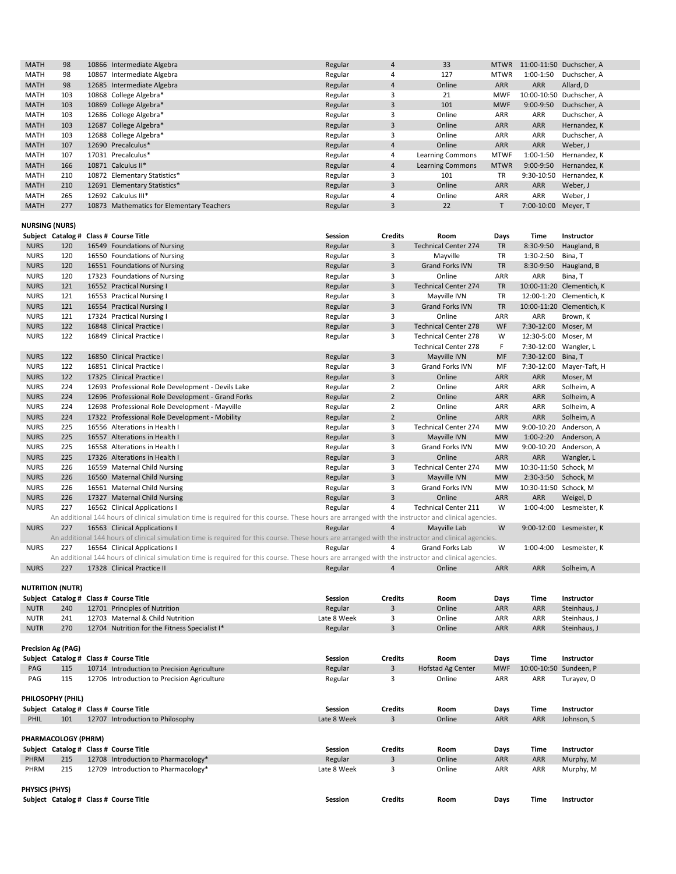| <b>MATH</b> | 98  | 10866 Intermediate Algebra                | Regular | 4 | 33                      | <b>MTWR</b> |             | 11:00-11:50 Duchscher, A |
|-------------|-----|-------------------------------------------|---------|---|-------------------------|-------------|-------------|--------------------------|
| <b>MATH</b> | 98  | 10867 Intermediate Algebra                | Regular | 4 | 127                     | <b>MTWR</b> | 1:00-1:50   | Duchscher, A             |
| <b>MATH</b> | 98  | 12685 Intermediate Algebra                | Regular | 4 | Online                  | <b>ARR</b>  | <b>ARR</b>  | Allard, D                |
| <b>MATH</b> | 103 | 10868 College Algebra*                    | Regular |   | 21                      | <b>MWF</b>  |             | 10:00-10:50 Duchscher, A |
| <b>MATH</b> | 103 | 10869 College Algebra*                    | Regular | 3 | 101                     | <b>MWF</b>  | 9:00-9:50   | Duchscher, A             |
| <b>MATH</b> | 103 | 12686 College Algebra*                    | Regular |   | Online                  | <b>ARR</b>  | ARR         | Duchscher, A             |
| <b>MATH</b> | 103 | 12687 College Algebra*                    | Regular | 3 | Online                  | <b>ARR</b>  | <b>ARR</b>  | Hernandez, K             |
| <b>MATH</b> | 103 | 12688 College Algebra*                    | Regular |   | Online                  | <b>ARR</b>  | ARR         | Duchscher, A             |
| <b>MATH</b> | 107 | 12690 Precalculus*                        | Regular | 4 | Online                  | <b>ARR</b>  | <b>ARR</b>  | Weber, J                 |
| <b>MATH</b> | 107 | 17031 Precalculus*                        | Regular | 4 | <b>Learning Commons</b> | <b>MTWF</b> | $1:00-1:50$ | Hernandez, K             |
| <b>MATH</b> | 166 | 10871 Calculus II*                        | Regular | 4 | <b>Learning Commons</b> | <b>MTWR</b> | $9:00-9:50$ | Hernandez, K             |
| <b>MATH</b> | 210 | 10872 Elementary Statistics*              | Regular |   | 101                     | <b>TR</b>   | 9:30-10:50  | Hernandez, K             |
| <b>MATH</b> | 210 | 12691 Elementary Statistics*              | Regular | 3 | Online                  | <b>ARR</b>  | <b>ARR</b>  | Weber, J                 |
| <b>MATH</b> | 265 | 12692 Calculus III*                       | Regular | 4 | Online                  | <b>ARR</b>  | ARR         | Weber, J                 |
| <b>MATH</b> | 277 | 10873 Mathematics for Elementary Teachers | Regular |   | 22                      |             | 7:00-10:00  | Meyer, T                 |

|                       |                           | Subject Catalog # Class # Course Title                                                                                                               | <b>Session</b> | <b>Credits</b> | Room                        | <b>Days</b>               | <b>Time</b>            | Instructor                |
|-----------------------|---------------------------|------------------------------------------------------------------------------------------------------------------------------------------------------|----------------|----------------|-----------------------------|---------------------------|------------------------|---------------------------|
| <b>NURS</b>           | 120                       | 16549 Foundations of Nursing                                                                                                                         | Regular        | 3              | <b>Technical Center 274</b> | <b>TR</b>                 | 8:30-9:50              | Haugland, B               |
| <b>NURS</b>           | 120                       | 16550 Foundations of Nursing                                                                                                                         | Regular        | 3              | Mayville                    | <b>TR</b>                 | 1:30-2:50              | Bina, T                   |
| <b>NURS</b>           | 120                       | 16551 Foundations of Nursing                                                                                                                         | Regular        | $\mathbf{3}$   | <b>Grand Forks IVN</b>      | <b>TR</b>                 | 8:30-9:50              | Haugland, B               |
| <b>NURS</b>           | 120                       | 17323 Foundations of Nursing                                                                                                                         | Regular        | 3              | Online                      | ARR                       | ARR                    | Bina, T                   |
| <b>NURS</b>           | 121                       | 16552 Practical Nursing I                                                                                                                            | Regular        | 3              | <b>Technical Center 274</b> | <b>TR</b>                 |                        | 10:00-11:20 Clementich, K |
| <b>NURS</b>           | 121                       | 16553 Practical Nursing I                                                                                                                            | Regular        | 3              | Mayville IVN                | TR                        |                        | 12:00-1:20 Clementich, K  |
| <b>NURS</b>           | 121                       | 16554 Practical Nursing I                                                                                                                            | Regular        | 3              | <b>Grand Forks IVN</b>      | <b>TR</b>                 |                        | 10:00-11:20 Clementich, K |
| <b>NURS</b>           | 121                       | 17324 Practical Nursing I                                                                                                                            | Regular        | 3              | Online                      | <b>ARR</b>                | ARR                    | Brown, K                  |
| <b>NURS</b>           | 122                       | 16848 Clinical Practice I                                                                                                                            | Regular        | $\mathbf{3}$   | <b>Technical Center 278</b> | WF                        | 7:30-12:00             | Moser, M                  |
| <b>NURS</b>           | 122                       | 16849 Clinical Practice I                                                                                                                            | Regular        | 3              | <b>Technical Center 278</b> | W                         | 12:30-5:00             | Moser, M                  |
|                       |                           |                                                                                                                                                      |                |                | <b>Technical Center 278</b> | F                         | 7:30-12:00             | Wangler, L                |
| <b>NURS</b>           | 122                       | 16850 Clinical Practice I                                                                                                                            | Regular        | 3              | Mayville IVN                | <b>MF</b>                 | 7:30-12:00             | Bina, T                   |
| <b>NURS</b>           | 122                       | 16851 Clinical Practice I                                                                                                                            | Regular        | 3              | <b>Grand Forks IVN</b>      | MF                        | 7:30-12:00             | Mayer-Taft, H             |
| <b>NURS</b>           | 122                       | 17325 Clinical Practice I                                                                                                                            | Regular        | $\mathbf{3}$   | Online                      | <b>ARR</b>                | <b>ARR</b>             | Moser, M                  |
| <b>NURS</b>           | 224                       | 12693 Professional Role Development - Devils Lake                                                                                                    | Regular        | $\overline{2}$ | Online                      | ARR                       | ARR                    | Solheim, A                |
| <b>NURS</b>           | 224                       | 12696 Professional Role Development - Grand Forks                                                                                                    | Regular        | $\overline{2}$ | Online                      | <b>ARR</b>                | <b>ARR</b>             | Solheim, A                |
| <b>NURS</b>           | 224                       | 12698 Professional Role Development - Mayville                                                                                                       | Regular        | $\overline{2}$ | Online                      | <b>ARR</b>                | ARR                    | Solheim, A                |
| <b>NURS</b>           | 224                       | 17322 Professional Role Development - Mobility                                                                                                       | Regular        | $\overline{2}$ | Online                      | <b>ARR</b>                | <b>ARR</b>             | Solheim, A                |
| <b>NURS</b>           | 225                       | 16556 Alterations in Health I                                                                                                                        | Regular        | 3              | <b>Technical Center 274</b> | <b>MW</b>                 | 9:00-10:20             | Anderson, A               |
| <b>NURS</b>           | 225                       | 16557 Alterations in Health I                                                                                                                        | Regular        | $\mathbf{3}$   | Mayville IVN                | <b>MW</b>                 | $1:00-2:20$            | Anderson, A               |
| <b>NURS</b>           | 225                       | 16558 Alterations in Health I                                                                                                                        | Regular        | 3              | <b>Grand Forks IVN</b>      | <b>MW</b>                 | $9:00 - 10:20$         | Anderson, A               |
| <b>NURS</b>           | 225                       | 17326 Alterations in Health I                                                                                                                        | Regular        | $\mathbf{3}$   | Online                      | <b>ARR</b>                | <b>ARR</b>             | Wangler, L                |
| <b>NURS</b>           | 226                       | 16559 Maternal Child Nursing                                                                                                                         | Regular        | 3              | <b>Technical Center 274</b> | <b>MW</b>                 | 10:30-11:50 Schock, M  |                           |
| <b>NURS</b>           | 226                       | 16560 Maternal Child Nursing                                                                                                                         | Regular        | 3              | Mayville IVN                | <b>MW</b>                 | $2:30-3:50$            | Schock, M                 |
| <b>NURS</b>           | 226                       | 16561 Maternal Child Nursing                                                                                                                         | Regular        | 3              | <b>Grand Forks IVN</b>      | <b>MW</b>                 | 10:30-11:50 Schock, M  |                           |
| <b>NURS</b>           | 226                       | 17327 Maternal Child Nursing                                                                                                                         | Regular        | $\mathbf{3}$   | Online                      | <b>ARR</b>                | ARR                    | Weigel, D                 |
| <b>NURS</b>           | 227                       | 16562 Clinical Applications I                                                                                                                        | Regular        | 4              | <b>Technical Center 211</b> | W                         | $1:00-4:00$            | Lesmeister, K             |
|                       |                           | An additional 144 hours of clinical simulation time is required for this course. These hours are arranged with the instructor and clinical agencies. |                |                |                             |                           |                        |                           |
| <b>NURS</b>           | 227                       | 16563 Clinical Applications I                                                                                                                        | Regular        | $\overline{4}$ | Mayville Lab                | W                         | $9:00-12:00$           | Lesmeister, K             |
|                       |                           | An additional 144 hours of clinical simulation time is required for this course. These hours are arranged with the instructor and clinical agencies. |                |                |                             |                           |                        |                           |
| <b>NURS</b>           | 227                       | 16564 Clinical Applications I                                                                                                                        | Regular        | 4              | <b>Grand Forks Lab</b>      | W                         | 1:00-4:00              | Lesmeister, K             |
|                       |                           | An additional 144 hours of clinical simulation time is required for this course. These hours are arranged with the instructor and clinical agencies. |                |                |                             |                           |                        |                           |
| <b>NURS</b>           | 227                       | 17328 Clinical Practice II                                                                                                                           | Regular        | $\overline{4}$ | Online                      | <b>ARR</b>                | <b>ARR</b>             | Solheim, A                |
|                       |                           |                                                                                                                                                      |                |                |                             |                           |                        |                           |
|                       | <b>NUTRITION (NUTR)</b>   |                                                                                                                                                      |                |                |                             |                           |                        |                           |
|                       |                           | Subject Catalog # Class # Course Title                                                                                                               | <b>Session</b> | <b>Credits</b> | Room                        | Days                      | <b>Time</b>            | Instructor                |
| <b>NUTR</b>           | 240                       | 12701 Principles of Nutrition                                                                                                                        | Regular        | 3              | Online                      | <b>ARR</b>                | <b>ARR</b>             | Steinhaus, J              |
| <b>NUTR</b>           | 241                       | 12703 Maternal & Child Nutrition                                                                                                                     | Late 8 Week    | 3              | Online                      | ARR                       | <b>ARR</b>             | Steinhaus, J              |
| <b>NUTR</b>           | 270                       | 12704 Nutrition for the Fitness Specialist I*                                                                                                        | Regular        | $\mathbf{3}$   | Online                      | ARR                       | <b>ARR</b>             | Steinhaus, J              |
|                       |                           |                                                                                                                                                      |                |                |                             |                           |                        |                           |
|                       | <b>Precision Ag (PAG)</b> |                                                                                                                                                      |                |                |                             |                           |                        |                           |
|                       |                           | Subject Catalog # Class # Course Title                                                                                                               | <b>Session</b> | <b>Credits</b> | Room                        | <b>Days</b>               | <b>Time</b>            | <b>Instructor</b>         |
| PAG                   | 115                       | 10714 Introduction to Precision Agriculture                                                                                                          | Regular        | 3              | Hofstad Ag Center           | <b>MWF</b>                | 10:00-10:50 Sundeen, P |                           |
| PAG                   | 115                       | 12706 Introduction to Precision Agriculture                                                                                                          | Regular        | 3              | Online                      | ARR                       | ARR                    | Turayev, O                |
|                       | PHILOSOPHY (PHIL)         |                                                                                                                                                      |                |                |                             |                           |                        |                           |
|                       |                           | Subject Catalog # Class # Course Title                                                                                                               | <b>Session</b> | <b>Credits</b> | Room                        |                           | <b>Time</b>            | Instructor                |
|                       |                           |                                                                                                                                                      |                |                |                             | <b>Days</b><br><b>ARR</b> | <b>ARR</b>             |                           |
| PHIL                  | 101                       | 12707 Introduction to Philosophy                                                                                                                     | Late 8 Week    | $\mathbf{3}$   | Online                      |                           |                        | Johnson, S                |
|                       | PHARMACOLOGY (PHRM)       |                                                                                                                                                      |                |                |                             |                           |                        |                           |
|                       |                           | Subject Catalog # Class # Course Title                                                                                                               | <b>Session</b> | <b>Credits</b> | Room                        |                           | <b>Time</b>            | Instructor                |
| <b>PHRM</b>           | 215                       | 12708 Introduction to Pharmacology*                                                                                                                  | Regular        | 3              | Online                      | <b>Days</b><br><b>ARR</b> | <b>ARR</b>             | Murphy, M                 |
| PHRM                  | 215                       | 12709 Introduction to Pharmacology*                                                                                                                  | Late 8 Week    | 3              | Online                      | ARR                       | ARR                    | Murphy, M                 |
|                       |                           |                                                                                                                                                      |                |                |                             |                           |                        |                           |
| <b>PHYSICS (PHYS)</b> |                           |                                                                                                                                                      |                |                |                             |                           |                        |                           |
|                       |                           | Subject Catalog # Class # Course Title                                                                                                               | <b>Session</b> | <b>Credits</b> | Room                        | <b>Days</b>               | <b>Time</b>            | Instructor                |
|                       |                           |                                                                                                                                                      |                |                |                             |                           |                        |                           |

**NURSING (NURS)**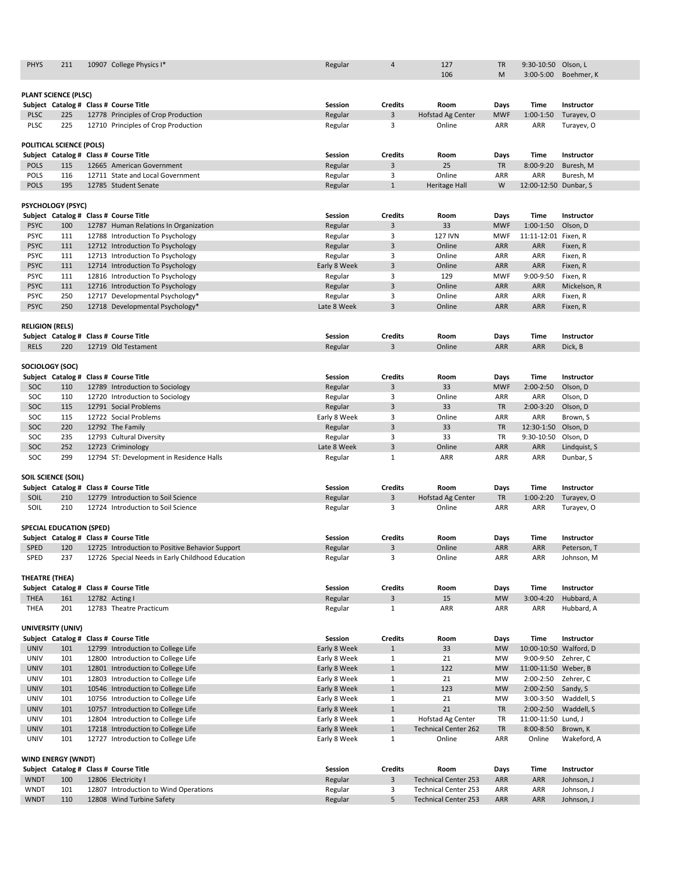| <b>PHYS</b>                | 211                             | 10907 College Physics I*                                            | Regular            | 4                   | 127                      | <b>TR</b>                | 9:30-10:50 Olson, L   |                          |
|----------------------------|---------------------------------|---------------------------------------------------------------------|--------------------|---------------------|--------------------------|--------------------------|-----------------------|--------------------------|
|                            |                                 |                                                                     |                    |                     | 106                      | M                        | $3:00 - 5:00$         | Boehmer, K               |
|                            | <b>PLANT SCIENCE (PLSC)</b>     |                                                                     |                    |                     |                          |                          |                       |                          |
|                            |                                 | Subject Catalog # Class # Course Title                              | <b>Session</b>     | <b>Credits</b>      | Room                     | <b>Days</b>              | <b>Time</b>           | Instructor               |
| <b>PLSC</b>                | 225                             | 12778 Principles of Crop Production                                 | Regular            | 3                   | <b>Hofstad Ag Center</b> | <b>MWF</b>               | $1:00-1:50$           | Turayev, O               |
| <b>PLSC</b>                | 225                             | 12710 Principles of Crop Production                                 | Regular            | 3                   | Online                   | ARR                      | <b>ARR</b>            | Turayev, O               |
|                            |                                 |                                                                     |                    |                     |                          |                          |                       |                          |
|                            | <b>POLITICAL SCIENCE (POLS)</b> |                                                                     |                    |                     |                          |                          |                       |                          |
|                            |                                 | Subject Catalog # Class # Course Title                              | <b>Session</b>     | <b>Credits</b>      | Room                     | <b>Days</b>              | <b>Time</b>           | Instructor               |
| <b>POLS</b>                | 115                             | 12665 American Government                                           | Regular            | $\overline{3}$      | 25                       | <b>TR</b>                | 8:00-9:20             | Buresh, M                |
| <b>POLS</b>                | 116                             | 12711 State and Local Government                                    | Regular            | 3                   | Online                   | <b>ARR</b>               | <b>ARR</b>            | Buresh, M                |
| <b>POLS</b>                | 195                             | 12785 Student Senate                                                | Regular            | $\mathbf{1}$        | <b>Heritage Hall</b>     | W                        | 12:00-12:50 Dunbar, S |                          |
|                            |                                 |                                                                     |                    |                     |                          |                          |                       |                          |
|                            | <b>PSYCHOLOGY (PSYC)</b>        |                                                                     |                    |                     |                          |                          |                       |                          |
|                            |                                 | Subject Catalog # Class # Course Title                              | <b>Session</b>     | <b>Credits</b>      | Room                     | Days                     | <b>Time</b>           | <b>Instructor</b>        |
| <b>PSYC</b>                | 100                             | 12787 Human Relations In Organization                               | Regular            | $\overline{3}$      | 33                       | <b>MWF</b>               | $1:00-1:50$           | Olson, D                 |
| <b>PSYC</b>                | 111                             | 12788 Introduction To Psychology                                    | Regular            | 3                   | <b>127 IVN</b>           | <b>MWF</b>               | 11:11-12:01 Fixen, R  |                          |
| <b>PSYC</b>                | 111                             | 12712 Introduction To Psychology                                    | Regular            | $\overline{3}$      | Online                   | <b>ARR</b>               | ARR                   | Fixen, R                 |
| <b>PSYC</b>                | 111                             | 12713 Introduction To Psychology                                    | Regular            | 3                   | Online                   | <b>ARR</b>               | <b>ARR</b>            | Fixen, R                 |
| <b>PSYC</b><br><b>PSYC</b> | 111                             | 12714 Introduction To Psychology                                    | Early 8 Week       | $\mathbf{3}$        | Online<br>129            | <b>ARR</b>               | ARR<br>9:00-9:50      | Fixen, R                 |
| <b>PSYC</b>                | 111<br>111                      | 12816 Introduction To Psychology                                    | Regular<br>Regular | 3<br>$\overline{3}$ | Online                   | <b>MWF</b><br><b>ARR</b> | <b>ARR</b>            | Fixen, R                 |
| <b>PSYC</b>                | 250                             | 12716 Introduction To Psychology<br>12717 Developmental Psychology* | Regular            | 3                   | Online                   | ARR                      | ARR                   | Mickelson, R<br>Fixen, R |
| <b>PSYC</b>                | 250                             | 12718 Developmental Psychology*                                     | Late 8 Week        | $\overline{3}$      | Online                   | <b>ARR</b>               | ARR                   | Fixen, R                 |
|                            |                                 |                                                                     |                    |                     |                          |                          |                       |                          |
| <b>RELIGION (RELS)</b>     |                                 |                                                                     |                    |                     |                          |                          |                       |                          |
|                            |                                 | Subject Catalog # Class # Course Title                              | <b>Session</b>     | <b>Credits</b>      | Room                     | <b>Days</b>              | <b>Time</b>           | <b>Instructor</b>        |
| <b>RELS</b>                | 220                             | 12719 Old Testament                                                 | Regular            | $\overline{3}$      | Online                   | <b>ARR</b>               | ARR                   | Dick, B                  |
|                            |                                 |                                                                     |                    |                     |                          |                          |                       |                          |
|                            | SOCIOLOGY (SOC)                 |                                                                     |                    |                     |                          |                          |                       |                          |
|                            |                                 | Subject Catalog # Class # Course Title                              | <b>Session</b>     | <b>Credits</b>      | Room                     | <b>Days</b>              | <b>Time</b>           | Instructor               |
| SOC                        | 110                             | 12789 Introduction to Sociology                                     | Regular            | 3                   | 33                       | <b>MWF</b>               | $2:00-2:50$           | Olson, D                 |
| SOC                        | 110                             | 12720 Introduction to Sociology                                     | Regular            | 3                   | Online                   | ARR                      | ARR                   | Olson, D                 |
| <b>SOC</b>                 | 115                             | 12791 Social Problems                                               | Regular            | 3                   | 33                       | <b>TR</b>                | $2:00-3:20$           | Olson, D                 |
| SOC                        | 115                             | 12722 Social Problems                                               | Early 8 Week       | 3                   | Online                   | ARR                      | ARR                   | Brown, S                 |
| SOC                        | 220                             | 12792 The Family                                                    | Regular            | 3                   | 33                       | <b>TR</b>                | 12:30-1:50            | Olson, D                 |
| <b>SOC</b>                 | 235                             | 12793 Cultural Diversity                                            | Regular            | 3                   | 33                       | <b>TR</b>                | 9:30-10:50            | Olson, D                 |
| SOC                        | 252                             | 12723 Criminology                                                   | Late 8 Week        | $\overline{3}$      | Online                   | <b>ARR</b>               | <b>ARR</b>            | Lindquist, S             |
| SOC                        | 299                             | 12794 ST: Development in Residence Halls                            | Regular            | $\mathbf{1}$        | ARR                      | ARR                      | ARR                   | Dunbar, S                |
|                            |                                 |                                                                     |                    |                     |                          |                          |                       |                          |
|                            | <b>SOIL SCIENCE (SOIL)</b>      |                                                                     |                    |                     |                          |                          |                       |                          |
|                            |                                 | Subject Catalog # Class # Course Title                              | <b>Session</b>     | <b>Credits</b>      | Room                     | Days                     | <b>Time</b>           | Instructor               |
| SOIL                       | 210                             | 12779 Introduction to Soil Science                                  | Regular            | $\overline{3}$      | Hofstad Ag Center        | <b>TR</b>                | $1:00-2:20$           | Turayev, O               |
| SOIL                       | 210                             | 12724 Introduction to Soil Science                                  | Regular            | 3                   | Online                   | ARR                      | ARR                   | Turayev, O               |
|                            | <b>SPECIAL EDUCATION (SPED)</b> |                                                                     |                    |                     |                          |                          |                       |                          |
|                            |                                 | Subject Catalog # Class # Course Title                              | Session            | <b>Credits</b>      | Room                     | <b>Days</b>              | <b>Time</b>           | Instructor               |
| <b>SPED</b>                | 120                             | 12725 Introduction to Positive Behavior Support                     | Regular            | 3                   | Online                   | <b>ARR</b>               | ARR                   | Peterson, T              |
| SPED                       | 237                             | 12726 Special Needs in Early Childhood Education                    | Regular            | 3                   | Online                   | <b>ARR</b>               | ARR                   | Johnson, M               |
|                            |                                 |                                                                     |                    |                     |                          |                          |                       |                          |
| <b>THEATRE (THEA)</b>      |                                 |                                                                     |                    |                     |                          |                          |                       |                          |
|                            |                                 | Subject Catalog # Class # Course Title                              | Session            | <b>Credits</b>      | Room                     | <b>Days</b>              | <b>Time</b>           | Instructor               |
| <b>THEA</b>                | 161                             | 12782 Acting I                                                      | Regular            | 3                   | 15                       | <b>MW</b>                | $3:00-4:20$           | Hubbard, A               |
| <b>THEA</b>                | 201                             | 12783 Theatre Practicum                                             | Regular            | $\mathbf{1}$        | ARR                      | <b>ARR</b>               | ARR                   | Hubbard, A               |

|             |                           | Subject Catalog # Class # Course Title | <b>Session</b> | <b>Credits</b> | Room                        | Days       | Time                   | <b>Instructor</b> |
|-------------|---------------------------|----------------------------------------|----------------|----------------|-----------------------------|------------|------------------------|-------------------|
| <b>UNIV</b> | 101                       | 12799 Introduction to College Life     | Early 8 Week   |                | 33                          | <b>MW</b>  | 10:00-10:50 Walford, D |                   |
| <b>UNIV</b> | 101                       | 12800 Introduction to College Life     | Early 8 Week   |                | 21                          | <b>MW</b>  | $9:00-9:50$            | Zehrer, C         |
| <b>UNIV</b> | 101                       | 12801 Introduction to College Life     | Early 8 Week   | $\mathbf{1}$   | 122                         | <b>MW</b>  | 11:00-11:50 Weber, B   |                   |
| <b>UNIV</b> | 101                       | 12803 Introduction to College Life     | Early 8 Week   |                | 21                          | <b>MW</b>  | $2:00 - 2:50$          | Zehrer, C         |
| <b>UNIV</b> | 101                       | 10546 Introduction to College Life     | Early 8 Week   | $\mathbf{1}$   | 123                         | <b>MW</b>  | $2:00 - 2:50$          | Sandy, S          |
| <b>UNIV</b> | 101                       | 10756 Introduction to College Life     | Early 8 Week   |                | 21                          | <b>MW</b>  | $3:00-3:50$            | Waddell, S        |
| <b>UNIV</b> | 101                       | 10757 Introduction to College Life     | Early 8 Week   |                | 21                          | <b>TR</b>  | $2:00 - 2:50$          | Waddell, S        |
| <b>UNIV</b> | 101                       | 12804 Introduction to College Life     | Early 8 Week   | $\mathbf{1}$   | Hofstad Ag Center           | <b>TR</b>  | 11:00-11:50 Lund, J    |                   |
| <b>UNIV</b> | 101                       | 17218 Introduction to College Life     | Early 8 Week   | $\mathbf{1}$   | <b>Technical Center 262</b> | <b>TR</b>  | $8:00 - 8:50$          | Brown, K          |
| UNIV        | 101                       | 12727 Introduction to College Life     | Early 8 Week   |                | Online                      | ARR        | Online                 | Wakeford, A       |
|             |                           |                                        |                |                |                             |            |                        |                   |
|             | <b>WIND ENERGY (WNDT)</b> |                                        |                |                |                             |            |                        |                   |
|             |                           | Subject Catalog # Class # Course Title | <b>Session</b> | <b>Credits</b> | Room                        | Days       | <b>Time</b>            | Instructor        |
| <b>WNDT</b> | 100                       | 12806 Electricity I                    | Regular        | 3              | <b>Technical Center 253</b> | <b>ARR</b> | <b>ARR</b>             | Johnson, J        |
| <b>WNDT</b> | 101                       | 12807 Introduction to Wind Operations  | Regular        | 3              | <b>Technical Center 253</b> | ARR        | ARR                    | Johnson, J        |
| <b>WNDT</b> | 110                       | 12808 Wind Turbine Safety              | Regular        | 5              | <b>Technical Center 253</b> | <b>ARR</b> | ARR                    | Johnson, J        |

#### **UNIVERSITY (UNIV)**